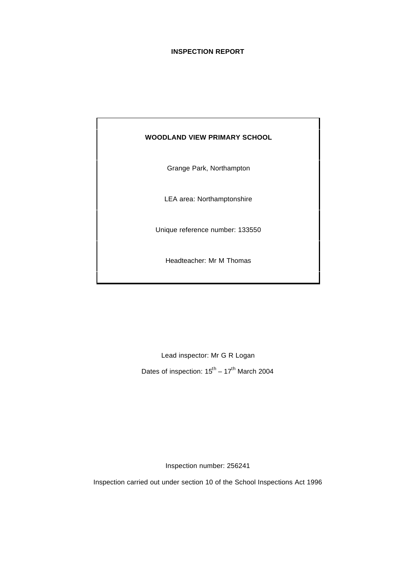#### **INSPECTION REPORT**

#### **WOODLAND VIEW PRIMARY SCHOOL**

Grange Park, Northampton

LEA area: Northamptonshire

Unique reference number: 133550

Headteacher: Mr M Thomas

Lead inspector: Mr G R Logan Dates of inspection:  $15^{\text{th}} - 17^{\text{th}}$  March 2004

Inspection number: 256241

Inspection carried out under section 10 of the School Inspections Act 1996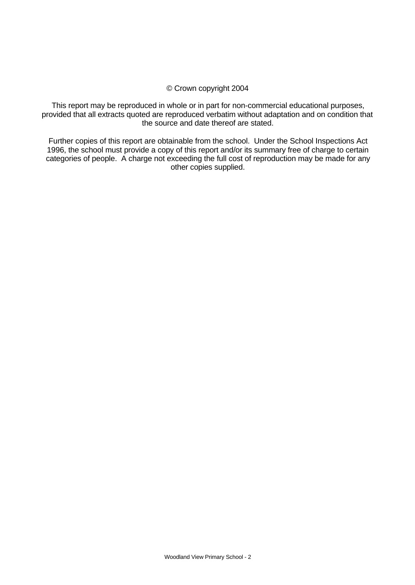### © Crown copyright 2004

This report may be reproduced in whole or in part for non-commercial educational purposes, provided that all extracts quoted are reproduced verbatim without adaptation and on condition that the source and date thereof are stated.

Further copies of this report are obtainable from the school. Under the School Inspections Act 1996, the school must provide a copy of this report and/or its summary free of charge to certain categories of people. A charge not exceeding the full cost of reproduction may be made for any other copies supplied.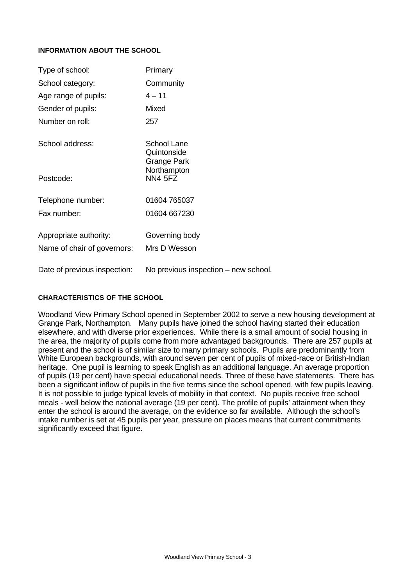#### **INFORMATION ABOUT THE SCHOOL**

| Type of school:                                       | Primary                                   |
|-------------------------------------------------------|-------------------------------------------|
| School category:                                      | Community                                 |
| Age range of pupils:                                  | $4 - 11$                                  |
| Gender of pupils:                                     | Mixed                                     |
| Number on roll:                                       | 257                                       |
| School address:                                       | School Lane<br>Quintonside<br>Grange Park |
| Postcode:                                             | Northampton<br><b>NN4 5FZ</b>             |
| Telephone number:                                     | 01604 765037                              |
| Fax number:                                           | 01604 667230                              |
| Appropriate authority:<br>Name of chair of governors: | Governing body<br>Mrs D Wesson            |
| Date of previous inspection:                          | No previous inspection – new school.      |

#### **CHARACTERISTICS OF THE SCHOOL**

Woodland View Primary School opened in September 2002 to serve a new housing development at Grange Park, Northampton. Many pupils have joined the school having started their education elsewhere, and with diverse prior experiences. While there is a small amount of social housing in the area, the majority of pupils come from more advantaged backgrounds. There are 257 pupils at present and the school is of similar size to many primary schools. Pupils are predominantly from White European backgrounds, with around seven per cent of pupils of mixed-race or British-Indian heritage. One pupil is learning to speak English as an additional language. An average proportion of pupils (19 per cent) have special educational needs. Three of these have statements. There has been a significant inflow of pupils in the five terms since the school opened, with few pupils leaving. It is not possible to judge typical levels of mobility in that context. No pupils receive free school meals - well below the national average (19 per cent). The profile of pupils' attainment when they enter the school is around the average, on the evidence so far available. Although the school's intake number is set at 45 pupils per year, pressure on places means that current commitments significantly exceed that figure.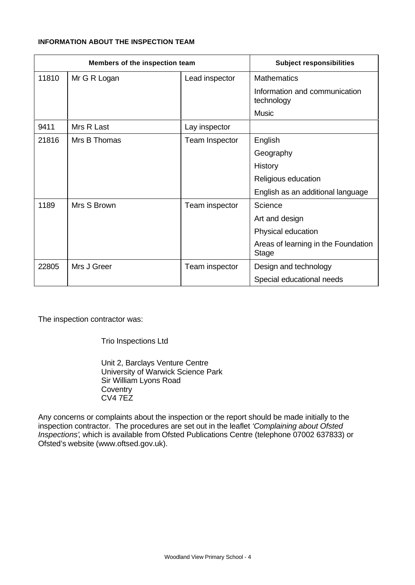### **INFORMATION ABOUT THE INSPECTION TEAM**

| Members of the inspection team |              | <b>Subject responsibilities</b> |                                                     |
|--------------------------------|--------------|---------------------------------|-----------------------------------------------------|
| 11810                          | Mr G R Logan | Lead inspector                  | <b>Mathematics</b>                                  |
|                                |              |                                 | Information and communication<br>technology         |
|                                |              |                                 | <b>Music</b>                                        |
| 9411                           | Mrs R Last   | Lay inspector                   |                                                     |
| 21816                          | Mrs B Thomas | Team Inspector                  | English                                             |
|                                |              |                                 | Geography                                           |
|                                |              |                                 | History                                             |
|                                |              |                                 | Religious education                                 |
|                                |              |                                 | English as an additional language                   |
| 1189                           | Mrs S Brown  | Team inspector                  | Science                                             |
|                                |              |                                 | Art and design                                      |
|                                |              |                                 | Physical education                                  |
|                                |              |                                 | Areas of learning in the Foundation<br><b>Stage</b> |
| 22805                          | Mrs J Greer  | Team inspector                  | Design and technology                               |
|                                |              |                                 | Special educational needs                           |

The inspection contractor was:

Trio Inspections Ltd

Unit 2, Barclays Venture Centre University of Warwick Science Park Sir William Lyons Road **Coventry** CV4 7EZ

Any concerns or complaints about the inspection or the report should be made initially to the inspection contractor. The procedures are set out in the leaflet *'Complaining about Ofsted Inspections'*, which is available from Ofsted Publications Centre (telephone 07002 637833) or Ofsted's website (www.oftsed.gov.uk).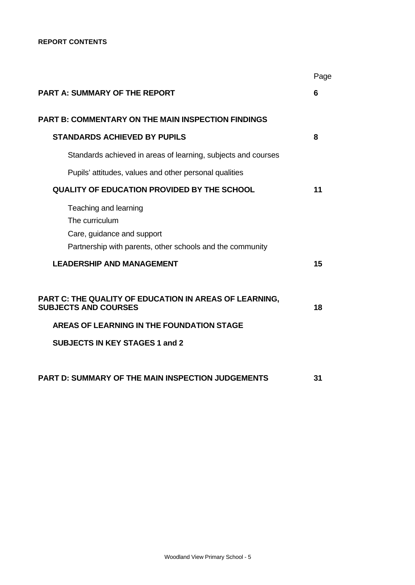|                                                                                                                                    | Page |
|------------------------------------------------------------------------------------------------------------------------------------|------|
| <b>PART A: SUMMARY OF THE REPORT</b>                                                                                               | 6    |
| <b>PART B: COMMENTARY ON THE MAIN INSPECTION FINDINGS</b>                                                                          |      |
| <b>STANDARDS ACHIEVED BY PUPILS</b>                                                                                                | 8    |
| Standards achieved in areas of learning, subjects and courses                                                                      |      |
| Pupils' attitudes, values and other personal qualities                                                                             |      |
| <b>QUALITY OF EDUCATION PROVIDED BY THE SCHOOL</b>                                                                                 | 11   |
| Teaching and learning<br>The curriculum<br>Care, guidance and support<br>Partnership with parents, other schools and the community |      |
| <b>LEADERSHIP AND MANAGEMENT</b>                                                                                                   | 15   |
| PART C: THE QUALITY OF EDUCATION IN AREAS OF LEARNING,<br><b>SUBJECTS AND COURSES</b><br>AREAS OF LEARNING IN THE FOUNDATION STAGE | 18   |
| <b>SUBJECTS IN KEY STAGES 1 and 2</b>                                                                                              |      |
|                                                                                                                                    |      |
| <b>PART D: SUMMARY OF THE MAIN INSPECTION JUDGEMENTS</b>                                                                           | 31   |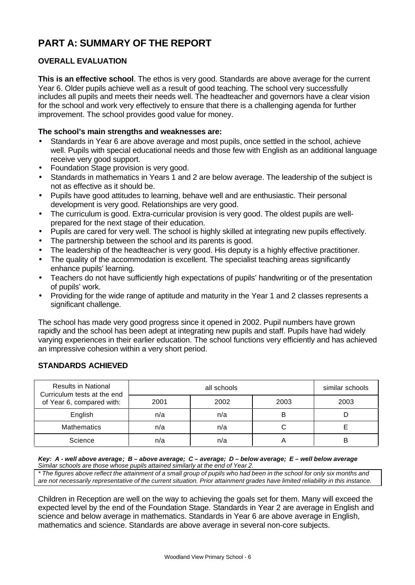# **PART A: SUMMARY OF THE REPORT**

## **OVERALL EVALUATION**

**This is an effective school**. The ethos is very good. Standards are above average for the current Year 6. Older pupils achieve well as a result of good teaching. The school very successfully includes all pupils and meets their needs well. The headteacher and governors have a clear vision for the school and work very effectively to ensure that there is a challenging agenda for further improvement. The school provides good value for money.

#### **The school's main strengths and weaknesses are:**

- Standards in Year 6 are above average and most pupils, once settled in the school, achieve well. Pupils with special educational needs and those few with English as an additional language receive very good support.
- Foundation Stage provision is very good.
- Standards in mathematics in Years 1 and 2 are below average. The leadership of the subject is not as effective as it should be.
- Pupils have good attitudes to learning, behave well and are enthusiastic. Their personal development is very good. Relationships are very good.
- The curriculum is good. Extra-curricular provision is very good. The oldest pupils are wellprepared for the next stage of their education.
- Pupils are cared for very well. The school is highly skilled at integrating new pupils effectively.
- The partnership between the school and its parents is good.
- The leadership of the headteacher is very good. His deputy is a highly effective practitioner.
- The quality of the accommodation is excellent. The specialist teaching areas significantly enhance pupils' learning.
- Teachers do not have sufficiently high expectations of pupils' handwriting or of the presentation of pupils' work.
- Providing for the wide range of aptitude and maturity in the Year 1 and 2 classes represents a significant challenge.

The school has made very good progress since it opened in 2002. Pupil numbers have grown rapidly and the school has been adept at integrating new pupils and staff. Pupils have had widely varying experiences in their earlier education. The school functions very efficiently and has achieved an impressive cohesion within a very short period.

### **STANDARDS ACHIEVED**

| <b>Results in National</b><br>Curriculum tests at the end |      | similar schools |      |      |
|-----------------------------------------------------------|------|-----------------|------|------|
| of Year 6, compared with:                                 | 2001 | 2002            | 2003 | 2003 |
| English                                                   | n/a  | n/a             | B    |      |
| <b>Mathematics</b>                                        | n/a  | n/a             |      |      |
| Science                                                   | n/a  | n/a             |      | в    |

#### *Key: A - well above average; B – above average; C – average; D – below average; E – well below average Similar schools are those whose pupils attained similarly at the end of Year 2.*

*\* The figures above reflect the attainment of a small group of pupils who had been in the school for only six months and are not necessarily representative of the current situation. Prior attainment grades have limited reliability in this instance.*

Children in Reception are well on the way to achieving the goals set for them. Many will exceed the expected level by the end of the Foundation Stage. Standards in Year 2 are average in English and science and below average in mathematics. Standards in Year 6 are above average in English, mathematics and science. Standards are above average in several non-core subjects.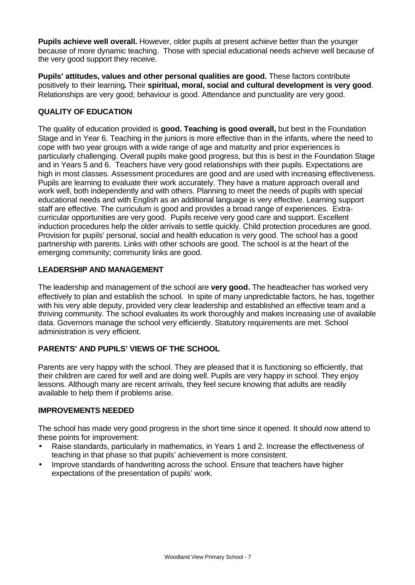**Pupils achieve well overall.** However, older pupils at present achieve better than the younger because of more dynamic teaching. Those with special educational needs achieve well because of the very good support they receive.

Pupils' attitudes, values and other personal qualities are good. These factors contribute positively to their learning**.** Their **spiritual, moral, social and cultural development is very good**. Relationships are very good; behaviour is good. Attendance and punctuality are very good.

## **QUALITY OF EDUCATION**

The quality of education provided is **good. Teaching is good overall,** but best in the Foundation Stage and in Year 6. Teaching in the juniors is more effective than in the infants, where the need to cope with two year groups with a wide range of age and maturity and prior experiences is particularly challenging. Overall pupils make good progress, but this is best in the Foundation Stage and in Years 5 and 6. Teachers have very good relationships with their pupils. Expectations are high in most classes. Assessment procedures are good and are used with increasing effectiveness. Pupils are learning to evaluate their work accurately. They have a mature approach overall and work well, both independently and with others. Planning to meet the needs of pupils with special educational needs and with English as an additional language is very effective. Learning support staff are effective. The curriculum is good and provides a broad range of experiences. Extracurricular opportunities are very good. Pupils receive very good care and support. Excellent induction procedures help the older arrivals to settle quickly. Child protection procedures are good. Provision for pupils' personal, social and health education is very good. The school has a good partnership with parents. Links with other schools are good. The school is at the heart of the emerging community; community links are good.

## **LEADERSHIP AND MANAGEMENT**

The leadership and management of the school are **very good.** The headteacher has worked very effectively to plan and establish the school. In spite of many unpredictable factors, he has, together with his very able deputy, provided very clear leadership and established an effective team and a thriving community. The school evaluates its work thoroughly and makes increasing use of available data. Governors manage the school very efficiently. Statutory requirements are met. School administration is very efficient.

## **PARENTS' AND PUPILS' VIEWS OF THE SCHOOL**

Parents are very happy with the school. They are pleased that it is functioning so efficiently, that their children are cared for well and are doing well. Pupils are very happy in school. They enjoy lessons. Although many are recent arrivals, they feel secure knowing that adults are readily available to help them if problems arise.

#### **IMPROVEMENTS NEEDED**

The school has made very good progress in the short time since it opened. It should now attend to these points for improvement:

- Raise standards, particularly in mathematics, in Years 1 and 2. Increase the effectiveness of teaching in that phase so that pupils' achievement is more consistent.
- Improve standards of handwriting across the school. Ensure that teachers have higher expectations of the presentation of pupils' work.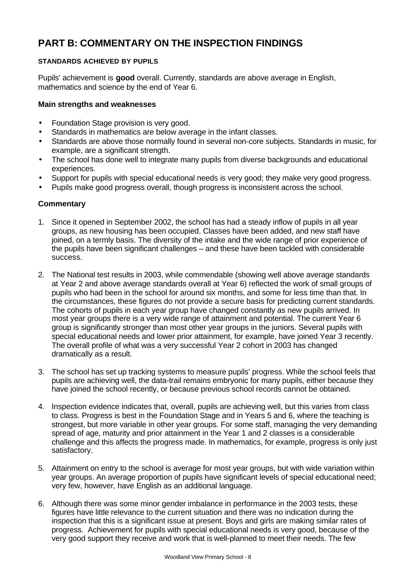# **PART B: COMMENTARY ON THE INSPECTION FINDINGS**

## **STANDARDS ACHIEVED BY PUPILS**

Pupils' achievement is **good** overall. Currently, standards are above average in English, mathematics and science by the end of Year 6.

## **Main strengths and weaknesses**

- Foundation Stage provision is very good.
- Standards in mathematics are below average in the infant classes.
- Standards are above those normally found in several non-core subjects. Standards in music, for example, are a significant strength.
- The school has done well to integrate many pupils from diverse backgrounds and educational experiences.
- Support for pupils with special educational needs is very good; they make very good progress.
- Pupils make good progress overall, though progress is inconsistent across the school.

- 1. Since it opened in September 2002, the school has had a steady inflow of pupils in all year groups, as new housing has been occupied. Classes have been added, and new staff have joined, on a termly basis. The diversity of the intake and the wide range of prior experience of the pupils have been significant challenges – and these have been tackled with considerable success.
- 2. The National test results in 2003, while commendable (showing well above average standards at Year 2 and above average standards overall at Year 6) reflected the work of small groups of pupils who had been in the school for around six months, and some for less time than that. In the circumstances, these figures do not provide a secure basis for predicting current standards. The cohorts of pupils in each year group have changed constantly as new pupils arrived. In most year groups there is a very wide range of attainment and potential. The current Year 6 group is significantly stronger than most other year groups in the juniors. Several pupils with special educational needs and lower prior attainment, for example, have joined Year 3 recently. The overall profile of what was a very successful Year 2 cohort in 2003 has changed dramatically as a result.
- 3. The school has set up tracking systems to measure pupils' progress. While the school feels that pupils are achieving well, the data-trail remains embryonic for many pupils, either because they have joined the school recently, or because previous school records cannot be obtained.
- 4. Inspection evidence indicates that, overall, pupils are achieving well, but this varies from class to class. Progress is best in the Foundation Stage and in Years 5 and 6, where the teaching is strongest, but more variable in other year groups. For some staff, managing the very demanding spread of age, maturity and prior attainment in the Year 1 and 2 classes is a considerable challenge and this affects the progress made. In mathematics, for example, progress is only just satisfactory.
- 5. Attainment on entry to the school is average for most year groups, but with wide variation within year groups. An average proportion of pupils have significant levels of special educational need; very few, however, have English as an additional language.
- 6. Although there was some minor gender imbalance in performance in the 2003 tests, these figures have little relevance to the current situation and there was no indication during the inspection that this is a significant issue at present. Boys and girls are making similar rates of progress. Achievement for pupils with special educational needs is very good, because of the very good support they receive and work that is well-planned to meet their needs. The few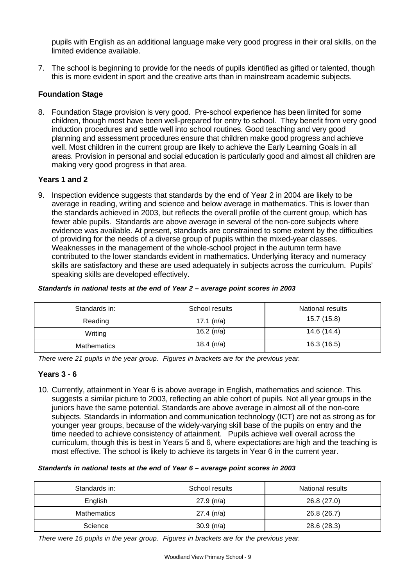pupils with English as an additional language make very good progress in their oral skills, on the limited evidence available.

7. The school is beginning to provide for the needs of pupils identified as gifted or talented, though this is more evident in sport and the creative arts than in mainstream academic subjects.

## **Foundation Stage**

8. Foundation Stage provision is very good. Pre-school experience has been limited for some children, though most have been well-prepared for entry to school. They benefit from very good induction procedures and settle well into school routines. Good teaching and very good planning and assessment procedures ensure that children make good progress and achieve well. Most children in the current group are likely to achieve the Early Learning Goals in all areas. Provision in personal and social education is particularly good and almost all children are making very good progress in that area.

#### **Years 1 and 2**

9. Inspection evidence suggests that standards by the end of Year 2 in 2004 are likely to be average in reading, writing and science and below average in mathematics. This is lower than the standards achieved in 2003, but reflects the overall profile of the current group, which has fewer able pupils. Standards are above average in several of the non-core subjects where evidence was available. At present, standards are constrained to some extent by the difficulties of providing for the needs of a diverse group of pupils within the mixed-year classes. Weaknesses in the management of the whole-school project in the autumn term have contributed to the lower standards evident in mathematics. Underlying literacy and numeracy skills are satisfactory and these are used adequately in subjects across the curriculum. Pupils' speaking skills are developed effectively.

#### *Standards in national tests at the end of Year 2 – average point scores in 2003*

| Standards in:      | School results | National results |
|--------------------|----------------|------------------|
| Reading            | 17.1 $(n/a)$   | 15.7 (15.8)      |
| Writing            | 16.2 $(n/a)$   | 14.6 (14.4)      |
| <b>Mathematics</b> | 18.4 $(n/a)$   | 16.3 (16.5)      |

*There were 21 pupils in the year group. Figures in brackets are for the previous year.*

#### **Years 3 - 6**

10. Currently, attainment in Year 6 is above average in English, mathematics and science. This suggests a similar picture to 2003, reflecting an able cohort of pupils. Not all year groups in the juniors have the same potential. Standards are above average in almost all of the non-core subjects. Standards in information and communication technology (ICT) are not as strong as for younger year groups, because of the widely-varying skill base of the pupils on entry and the time needed to achieve consistency of attainment. Pupils achieve well overall across the curriculum, though this is best in Years 5 and 6, where expectations are high and the teaching is most effective. The school is likely to achieve its targets in Year 6 in the current year.

#### *Standards in national tests at the end of Year 6 – average point scores in 2003*

| Standards in: | School results | National results |
|---------------|----------------|------------------|
| English       | 27.9(n/a)      | 26.8(27.0)       |
| Mathematics   | 27.4(n/a)      | 26.8 (26.7)      |
| Science       | 30.9(n/a)      | 28.6 (28.3)      |

*There were 15 pupils in the year group. Figures in brackets are for the previous year.*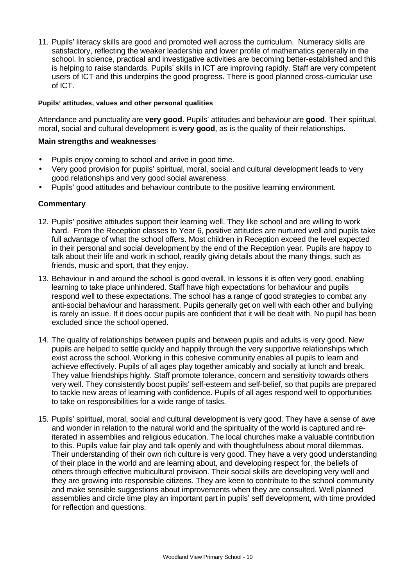11. Pupils' literacy skills are good and promoted well across the curriculum. Numeracy skills are satisfactory, reflecting the weaker leadership and lower profile of mathematics generally in the school. In science, practical and investigative activities are becoming better-established and this is helping to raise standards. Pupils' skills in ICT are improving rapidly. Staff are very competent users of ICT and this underpins the good progress. There is good planned cross-curricular use of ICT.

#### **Pupils' attitudes, values and other personal qualities**

Attendance and punctuality are **very good**. Pupils' attitudes and behaviour are **good**. Their spiritual, moral, social and cultural development is **very good**, as is the quality of their relationships.

#### **Main strengths and weaknesses**

- Pupils enjoy coming to school and arrive in good time.
- Very good provision for pupils' spiritual, moral, social and cultural development leads to very good relationships and very good social awareness.
- Pupils' good attitudes and behaviour contribute to the positive learning environment.

- 12. Pupils' positive attitudes support their learning well. They like school and are willing to work hard. From the Reception classes to Year 6, positive attitudes are nurtured well and pupils take full advantage of what the school offers. Most children in Reception exceed the level expected in their personal and social development by the end of the Reception year. Pupils are happy to talk about their life and work in school, readily giving details about the many things, such as friends, music and sport, that they enjoy.
- 13. Behaviour in and around the school is good overall. In lessons it is often very good, enabling learning to take place unhindered. Staff have high expectations for behaviour and pupils respond well to these expectations. The school has a range of good strategies to combat any anti-social behaviour and harassment. Pupils generally get on well with each other and bullying is rarely an issue. If it does occur pupils are confident that it will be dealt with. No pupil has been excluded since the school opened.
- 14. The quality of relationships between pupils and between pupils and adults is very good. New pupils are helped to settle quickly and happily through the very supportive relationships which exist across the school. Working in this cohesive community enables all pupils to learn and achieve effectively. Pupils of all ages play together amicably and socially at lunch and break. They value friendships highly. Staff promote tolerance, concern and sensitivity towards others very well. They consistently boost pupils' self-esteem and self-belief, so that pupils are prepared to tackle new areas of learning with confidence. Pupils of all ages respond well to opportunities to take on responsibilities for a wide range of tasks.
- 15. Pupils' spiritual, moral, social and cultural development is very good. They have a sense of awe and wonder in relation to the natural world and the spirituality of the world is captured and reiterated in assemblies and religious education. The local churches make a valuable contribution to this. Pupils value fair play and talk openly and with thoughtfulness about moral dilemmas. Their understanding of their own rich culture is very good. They have a very good understanding of their place in the world and are learning about, and developing respect for, the beliefs of others through effective multicultural provision. Their social skills are developing very well and they are growing into responsible citizens. They are keen to contribute to the school community and make sensible suggestions about improvements when they are consulted. Well planned assemblies and circle time play an important part in pupils' self development, with time provided for reflection and questions.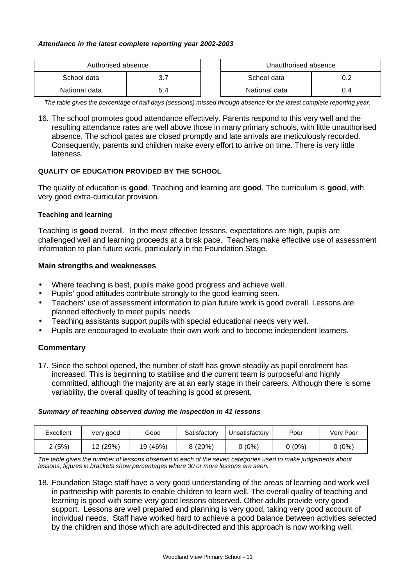#### *Attendance in the latest complete reporting year 2002-2003*

| Authorised absence |     |  | Unauthorised absence |      |
|--------------------|-----|--|----------------------|------|
| School data        |     |  | School data          |      |
| National data      | 5.4 |  | National data        | () 4 |

*The table gives the percentage of half days (sessions) missed through absence for the latest complete reporting year.*

16. The school promotes good attendance effectively. Parents respond to this very well and the resulting attendance rates are well above those in many primary schools, with little unauthorised absence. The school gates are closed promptly and late arrivals are meticulously recorded. Consequently, parents and children make every effort to arrive on time. There is very little lateness.

#### **QUALITY OF EDUCATION PROVIDED BY THE SCHOOL**

The quality of education is **good**. Teaching and learning are **good**. The curriculum is **good**, with very good extra-curricular provision.

#### **Teaching and learning**

Teaching is **good** overall. In the most effective lessons, expectations are high, pupils are challenged well and learning proceeds at a brisk pace. Teachers make effective use of assessment information to plan future work, particularly in the Foundation Stage.

#### **Main strengths and weaknesses**

- Where teaching is best, pupils make good progress and achieve well.
- Pupils' good attitudes contribute strongly to the good learning seen.
- Teachers' use of assessment information to plan future work is good overall. Lessons are planned effectively to meet pupils' needs.
- Teaching assistants support pupils with special educational needs very well.
- Pupils are encouraged to evaluate their own work and to become independent learners.

#### **Commentary**

17. Since the school opened, the number of staff has grown steadily as pupil enrolment has increased. This is beginning to stabilise and the current team is purposeful and highly committed, although the majority are at an early stage in their careers. Although there is some variability, the overall quality of teaching is good at present.

#### *Summary of teaching observed during the inspection in 41 lessons*

| Excellent | Very good | Good     | Satisfactorv | Unsatisfactory | Poor | Very Poor |
|-----------|-----------|----------|--------------|----------------|------|-----------|
| 2 (5%)    | 12 (29%)  | 19 (46%) |              | $(0\%)$        | (0%) | (0%)      |

*The table gives the number of lessons observed in each of the seven categories used to make judgements about lessons; figures in brackets show percentages where 30 or more lessons are seen.*

18. Foundation Stage staff have a very good understanding of the areas of learning and work well in partnership with parents to enable children to learn well. The overall quality of teaching and learning is good with some very good lessons observed. Other adults provide very good support. Lessons are well prepared and planning is very good, taking very good account of individual needs. Staff have worked hard to achieve a good balance between activities selected by the children and those which are adult-directed and this approach is now working well.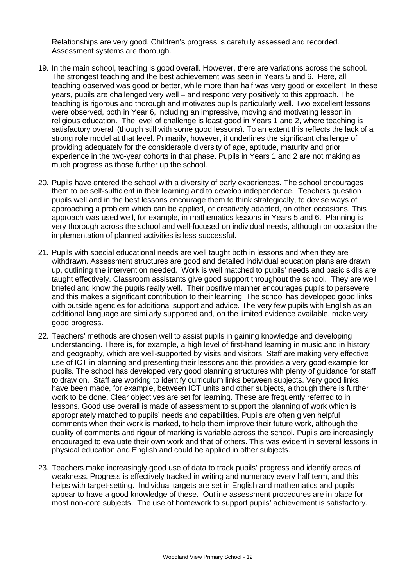Relationships are very good. Children's progress is carefully assessed and recorded. Assessment systems are thorough.

- 19. In the main school, teaching is good overall. However, there are variations across the school. The strongest teaching and the best achievement was seen in Years 5 and 6. Here, all teaching observed was good or better, while more than half was very good or excellent. In these years, pupils are challenged very well – and respond very positively to this approach. The teaching is rigorous and thorough and motivates pupils particularly well. Two excellent lessons were observed, both in Year 6, including an impressive, moving and motivating lesson in religious education. The level of challenge is least good in Years 1 and 2, where teaching is satisfactory overall (though still with some good lessons). To an extent this reflects the lack of a strong role model at that level. Primarily, however, it underlines the significant challenge of providing adequately for the considerable diversity of age, aptitude, maturity and prior experience in the two-year cohorts in that phase. Pupils in Years 1 and 2 are not making as much progress as those further up the school.
- 20. Pupils have entered the school with a diversity of early experiences. The school encourages them to be self-sufficient in their learning and to develop independence. Teachers question pupils well and in the best lessons encourage them to think strategically, to devise ways of approaching a problem which can be applied, or creatively adapted, on other occasions. This approach was used well, for example, in mathematics lessons in Years 5 and 6. Planning is very thorough across the school and well-focused on individual needs, although on occasion the implementation of planned activities is less successful.
- 21. Pupils with special educational needs are well taught both in lessons and when they are withdrawn. Assessment structures are good and detailed individual education plans are drawn up, outlining the intervention needed. Work is well matched to pupils' needs and basic skills are taught effectively. Classroom assistants give good support throughout the school. They are well briefed and know the pupils really well. Their positive manner encourages pupils to persevere and this makes a significant contribution to their learning. The school has developed good links with outside agencies for additional support and advice. The very few pupils with English as an additional language are similarly supported and, on the limited evidence available, make very good progress.
- 22. Teachers' methods are chosen well to assist pupils in gaining knowledge and developing understanding. There is, for example, a high level of first-hand learning in music and in history and geography, which are well-supported by visits and visitors. Staff are making very effective use of ICT in planning and presenting their lessons and this provides a very good example for pupils. The school has developed very good planning structures with plenty of guidance for staff to draw on. Staff are working to identify curriculum links between subjects. Very good links have been made, for example, between ICT units and other subjects, although there is further work to be done. Clear objectives are set for learning. These are frequently referred to in lessons. Good use overall is made of assessment to support the planning of work which is appropriately matched to pupils' needs and capabilities. Pupils are often given helpful comments when their work is marked, to help them improve their future work, although the quality of comments and rigour of marking is variable across the school. Pupils are increasingly encouraged to evaluate their own work and that of others. This was evident in several lessons in physical education and English and could be applied in other subjects.
- 23. Teachers make increasingly good use of data to track pupils' progress and identify areas of weakness. Progress is effectively tracked in writing and numeracy every half term, and this helps with target-setting. Individual targets are set in English and mathematics and pupils appear to have a good knowledge of these. Outline assessment procedures are in place for most non-core subjects. The use of homework to support pupils' achievement is satisfactory.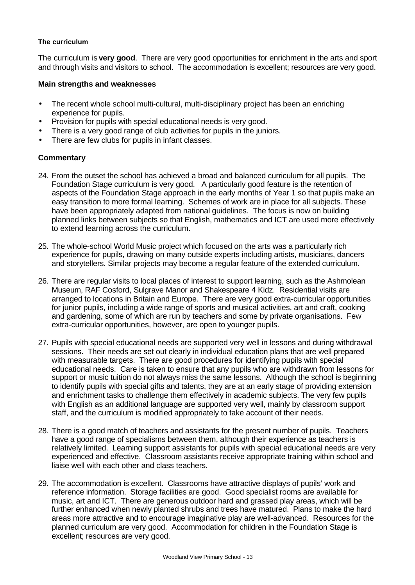#### **The curriculum**

The curriculum is **very good**. There are very good opportunities for enrichment in the arts and sport and through visits and visitors to school. The accommodation is excellent; resources are very good.

#### **Main strengths and weaknesses**

- The recent whole school multi-cultural, multi-disciplinary project has been an enriching experience for pupils.
- Provision for pupils with special educational needs is very good.
- There is a very good range of club activities for pupils in the juniors.
- There are few clubs for pupils in infant classes.

- 24. From the outset the school has achieved a broad and balanced curriculum for all pupils. The Foundation Stage curriculum is very good. A particularly good feature is the retention of aspects of the Foundation Stage approach in the early months of Year 1 so that pupils make an easy transition to more formal learning. Schemes of work are in place for all subjects. These have been appropriately adapted from national guidelines. The focus is now on building planned links between subjects so that English, mathematics and ICT are used more effectively to extend learning across the curriculum.
- 25. The whole-school World Music project which focused on the arts was a particularly rich experience for pupils, drawing on many outside experts including artists, musicians, dancers and storytellers. Similar projects may become a regular feature of the extended curriculum.
- 26. There are regular visits to local places of interest to support learning, such as the Ashmolean Museum, RAF Cosford, Sulgrave Manor and Shakespeare 4 Kidz. Residential visits are arranged to locations in Britain and Europe. There are very good extra-curricular opportunities for junior pupils, including a wide range of sports and musical activities, art and craft, cooking and gardening, some of which are run by teachers and some by private organisations. Few extra-curricular opportunities, however, are open to younger pupils.
- 27. Pupils with special educational needs are supported very well in lessons and during withdrawal sessions. Their needs are set out clearly in individual education plans that are well prepared with measurable targets. There are good procedures for identifying pupils with special educational needs. Care is taken to ensure that any pupils who are withdrawn from lessons for support or music tuition do not always miss the same lessons. Although the school is beginning to identify pupils with special gifts and talents, they are at an early stage of providing extension and enrichment tasks to challenge them effectively in academic subjects. The very few pupils with English as an additional language are supported very well, mainly by classroom support staff, and the curriculum is modified appropriately to take account of their needs.
- 28. There is a good match of teachers and assistants for the present number of pupils. Teachers have a good range of specialisms between them, although their experience as teachers is relatively limited. Learning support assistants for pupils with special educational needs are very experienced and effective. Classroom assistants receive appropriate training within school and liaise well with each other and class teachers.
- 29. The accommodation is excellent. Classrooms have attractive displays of pupils' work and reference information. Storage facilities are good. Good specialist rooms are available for music, art and ICT. There are generous outdoor hard and grassed play areas, which will be further enhanced when newly planted shrubs and trees have matured. Plans to make the hard areas more attractive and to encourage imaginative play are well-advanced. Resources for the planned curriculum are very good. Accommodation for children in the Foundation Stage is excellent; resources are very good.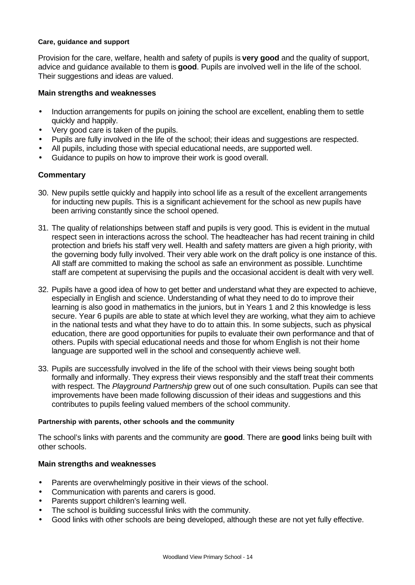#### **Care, guidance and support**

Provision for the care, welfare, health and safety of pupils is **very good** and the quality of support, advice and guidance available to them is **good**. Pupils are involved well in the life of the school. Their suggestions and ideas are valued.

#### **Main strengths and weaknesses**

- Induction arrangements for pupils on joining the school are excellent, enabling them to settle quickly and happily.
- Very good care is taken of the pupils.
- Pupils are fully involved in the life of the school; their ideas and suggestions are respected.
- All pupils, including those with special educational needs, are supported well.
- Guidance to pupils on how to improve their work is good overall.

## **Commentary**

- 30. New pupils settle quickly and happily into school life as a result of the excellent arrangements for inducting new pupils. This is a significant achievement for the school as new pupils have been arriving constantly since the school opened.
- 31. The quality of relationships between staff and pupils is very good. This is evident in the mutual respect seen in interactions across the school. The headteacher has had recent training in child protection and briefs his staff very well. Health and safety matters are given a high priority, with the governing body fully involved. Their very able work on the draft policy is one instance of this. All staff are committed to making the school as safe an environment as possible. Lunchtime staff are competent at supervising the pupils and the occasional accident is dealt with very well.
- 32. Pupils have a good idea of how to get better and understand what they are expected to achieve, especially in English and science. Understanding of what they need to do to improve their learning is also good in mathematics in the juniors, but in Years 1 and 2 this knowledge is less secure. Year 6 pupils are able to state at which level they are working, what they aim to achieve in the national tests and what they have to do to attain this. In some subjects, such as physical education, there are good opportunities for pupils to evaluate their own performance and that of others. Pupils with special educational needs and those for whom English is not their home language are supported well in the school and consequently achieve well.
- 33. Pupils are successfully involved in the life of the school with their views being sought both formally and informally. They express their views responsibly and the staff treat their comments with respect. The *Playground Partnership* grew out of one such consultation. Pupils can see that improvements have been made following discussion of their ideas and suggestions and this contributes to pupils feeling valued members of the school community.

#### **Partnership with parents, other schools and the community**

The school's links with parents and the community are **good**. There are **good** links being built with other schools.

#### **Main strengths and weaknesses**

- Parents are overwhelmingly positive in their views of the school.
- Communication with parents and carers is good.
- Parents support children's learning well.
- The school is building successful links with the community.
- Good links with other schools are being developed, although these are not yet fully effective.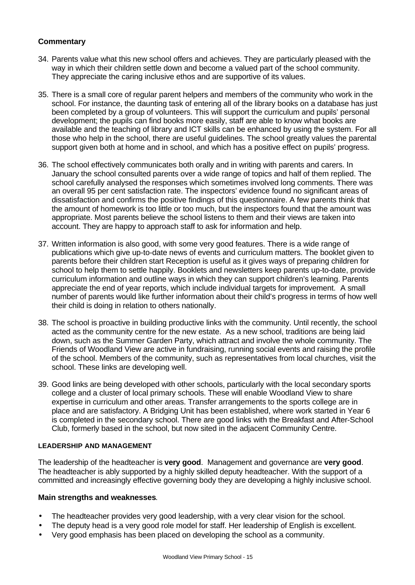- 34. Parents value what this new school offers and achieves. They are particularly pleased with the way in which their children settle down and become a valued part of the school community. They appreciate the caring inclusive ethos and are supportive of its values.
- 35. There is a small core of regular parent helpers and members of the community who work in the school. For instance, the daunting task of entering all of the library books on a database has just been completed by a group of volunteers. This will support the curriculum and pupils' personal development; the pupils can find books more easily, staff are able to know what books are available and the teaching of library and ICT skills can be enhanced by using the system. For all those who help in the school, there are useful guidelines. The school greatly values the parental support given both at home and in school, and which has a positive effect on pupils' progress.
- 36. The school effectively communicates both orally and in writing with parents and carers. In January the school consulted parents over a wide range of topics and half of them replied. The school carefully analysed the responses which sometimes involved long comments. There was an overall 95 per cent satisfaction rate. The inspectors' evidence found no significant areas of dissatisfaction and confirms the positive findings of this questionnaire. A few parents think that the amount of homework is too little or too much, but the inspectors found that the amount was appropriate. Most parents believe the school listens to them and their views are taken into account. They are happy to approach staff to ask for information and help.
- 37. Written information is also good, with some very good features. There is a wide range of publications which give up-to-date news of events and curriculum matters. The booklet given to parents before their children start Reception is useful as it gives ways of preparing children for school to help them to settle happily. Booklets and newsletters keep parents up-to-date, provide curriculum information and outline ways in which they can support children's learning. Parents appreciate the end of year reports, which include individual targets for improvement. A small number of parents would like further information about their child's progress in terms of how well their child is doing in relation to others nationally.
- 38. The school is proactive in building productive links with the community. Until recently, the school acted as the community centre for the new estate. As a new school, traditions are being laid down, such as the Summer Garden Party, which attract and involve the whole community. The Friends of Woodland View are active in fundraising, running social events and raising the profile of the school. Members of the community, such as representatives from local churches, visit the school. These links are developing well.
- 39. Good links are being developed with other schools, particularly with the local secondary sports college and a cluster of local primary schools. These will enable Woodland View to share expertise in curriculum and other areas. Transfer arrangements to the sports college are in place and are satisfactory. A Bridging Unit has been established, where work started in Year 6 is completed in the secondary school. There are good links with the Breakfast and After-School Club, formerly based in the school, but now sited in the adjacent Community Centre.

#### **LEADERSHIP AND MANAGEMENT**

The leadership of the headteacher is **very good**. Management and governance are **very good**. The headteacher is ably supported by a highly skilled deputy headteacher. With the support of a committed and increasingly effective governing body they are developing a highly inclusive school.

#### **Main strengths and weaknesses**.

- The headteacher provides very good leadership, with a very clear vision for the school.
- The deputy head is a very good role model for staff. Her leadership of English is excellent.
- Very good emphasis has been placed on developing the school as a community.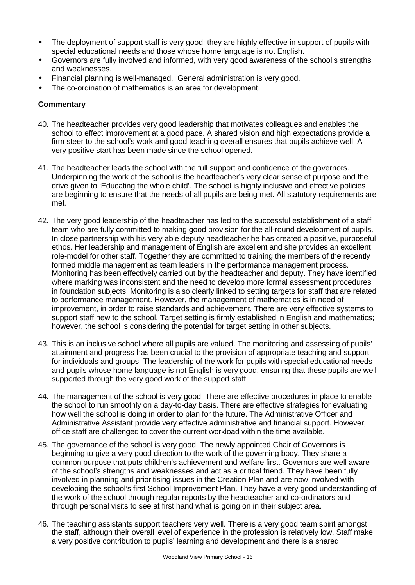- The deployment of support staff is very good; they are highly effective in support of pupils with special educational needs and those whose home language is not English.
- Governors are fully involved and informed, with very good awareness of the school's strengths and weaknesses.
- Financial planning is well-managed. General administration is very good.
- The co-ordination of mathematics is an area for development.

- 40. The headteacher provides very good leadership that motivates colleagues and enables the school to effect improvement at a good pace. A shared vision and high expectations provide a firm steer to the school's work and good teaching overall ensures that pupils achieve well. A very positive start has been made since the school opened.
- 41. The headteacher leads the school with the full support and confidence of the governors. Underpinning the work of the school is the headteacher's very clear sense of purpose and the drive given to 'Educating the whole child'. The school is highly inclusive and effective policies are beginning to ensure that the needs of all pupils are being met. All statutory requirements are met.
- 42. The very good leadership of the headteacher has led to the successful establishment of a staff team who are fully committed to making good provision for the all-round development of pupils. In close partnership with his very able deputy headteacher he has created a positive, purposeful ethos. Her leadership and management of English are excellent and she provides an excellent role-model for other staff. Together they are committed to training the members of the recently formed middle management as team leaders in the performance management process. Monitoring has been effectively carried out by the headteacher and deputy. They have identified where marking was inconsistent and the need to develop more formal assessment procedures in foundation subjects. Monitoring is also clearly linked to setting targets for staff that are related to performance management. However, the management of mathematics is in need of improvement, in order to raise standards and achievement. There are very effective systems to support staff new to the school. Target setting is firmly established in English and mathematics; however, the school is considering the potential for target setting in other subjects.
- 43. This is an inclusive school where all pupils are valued. The monitoring and assessing of pupils' attainment and progress has been crucial to the provision of appropriate teaching and support for individuals and groups. The leadership of the work for pupils with special educational needs and pupils whose home language is not English is very good, ensuring that these pupils are well supported through the very good work of the support staff.
- 44. The management of the school is very good. There are effective procedures in place to enable the school to run smoothly on a day-to-day basis. There are effective strategies for evaluating how well the school is doing in order to plan for the future. The Administrative Officer and Administrative Assistant provide very effective administrative and financial support. However, office staff are challenged to cover the current workload within the time available.
- 45. The governance of the school is very good. The newly appointed Chair of Governors is beginning to give a very good direction to the work of the governing body. They share a common purpose that puts children's achievement and welfare first. Governors are well aware of the school's strengths and weaknesses and act as a critical friend. They have been fully involved in planning and prioritising issues in the Creation Plan and are now involved with developing the school's first School Improvement Plan. They have a very good understanding of the work of the school through regular reports by the headteacher and co-ordinators and through personal visits to see at first hand what is going on in their subject area.
- 46. The teaching assistants support teachers very well. There is a very good team spirit amongst the staff, although their overall level of experience in the profession is relatively low. Staff make a very positive contribution to pupils' learning and development and there is a shared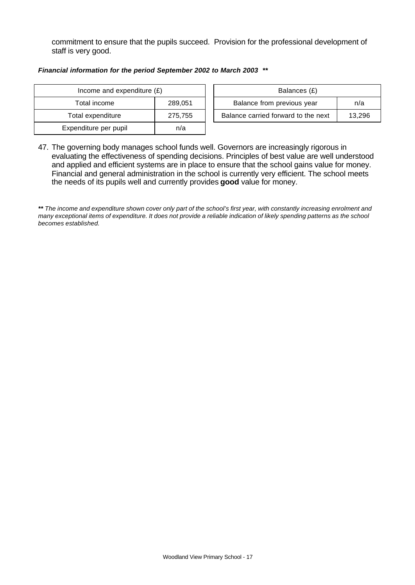commitment to ensure that the pupils succeed. Provision for the professional development of staff is very good.

#### *Financial information for the period September 2002 to March 2003 \*\**

| Income and expenditure $(E)$ |         | Balances (£)                   |
|------------------------------|---------|--------------------------------|
| Total income                 | 289,051 | Balance from previous year     |
| Total expenditure            | 275,755 | Balance carried forward to the |
| Expenditure per pupil        | n/a     |                                |

| Income and expenditure $(E)$ |         | Balances (£)                        |        |
|------------------------------|---------|-------------------------------------|--------|
| Total income                 | 289.051 | Balance from previous year<br>n/a   |        |
| Total expenditure            | 275.755 | Balance carried forward to the next | 13.296 |

47. The governing body manages school funds well. Governors are increasingly rigorous in evaluating the effectiveness of spending decisions. Principles of best value are well understood and applied and efficient systems are in place to ensure that the school gains value for money. Financial and general administration in the school is currently very efficient. The school meets the needs of its pupils well and currently provides **good** value for money.

*\*\* The income and expenditure shown cover only part of the school's first year, with constantly increasing enrolment and many exceptional items of expenditure. It does not provide a reliable indication of likely spending patterns as the school becomes established.*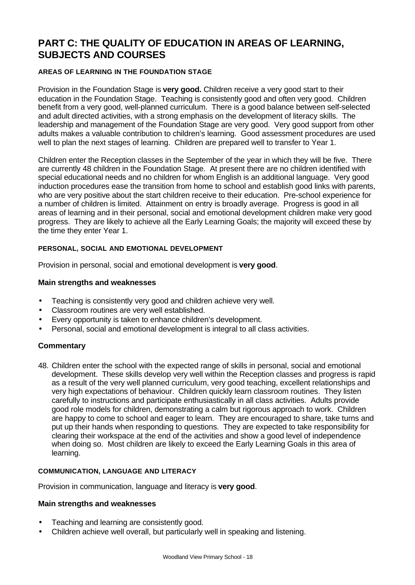## **PART C: THE QUALITY OF EDUCATION IN AREAS OF LEARNING, SUBJECTS AND COURSES**

#### **AREAS OF LEARNING IN THE FOUNDATION STAGE**

Provision in the Foundation Stage is **very good.** Children receive a very good start to their education in the Foundation Stage. Teaching is consistently good and often very good. Children benefit from a very good, well-planned curriculum. There is a good balance between self-selected and adult directed activities, with a strong emphasis on the development of literacy skills. The leadership and management of the Foundation Stage are very good. Very good support from other adults makes a valuable contribution to children's learning. Good assessment procedures are used well to plan the next stages of learning. Children are prepared well to transfer to Year 1.

Children enter the Reception classes in the September of the year in which they will be five. There are currently 48 children in the Foundation Stage. At present there are no children identified with special educational needs and no children for whom English is an additional language. Very good induction procedures ease the transition from home to school and establish good links with parents, who are very positive about the start children receive to their education. Pre-school experience for a number of children is limited. Attainment on entry is broadly average. Progress is good in all areas of learning and in their personal, social and emotional development children make very good progress. They are likely to achieve all the Early Learning Goals; the majority will exceed these by the time they enter Year 1.

#### **PERSONAL, SOCIAL AND EMOTIONAL DEVELOPMENT**

Provision in personal, social and emotional development is **very good**.

#### **Main strengths and weaknesses**

- Teaching is consistently very good and children achieve very well.
- Classroom routines are very well established.
- Every opportunity is taken to enhance children's development.
- Personal, social and emotional development is integral to all class activities.

#### **Commentary**

48. Children enter the school with the expected range of skills in personal, social and emotional development. These skills develop very well within the Reception classes and progress is rapid as a result of the very well planned curriculum, very good teaching, excellent relationships and very high expectations of behaviour. Children quickly learn classroom routines. They listen carefully to instructions and participate enthusiastically in all class activities. Adults provide good role models for children, demonstrating a calm but rigorous approach to work. Children are happy to come to school and eager to learn. They are encouraged to share, take turns and put up their hands when responding to questions. They are expected to take responsibility for clearing their workspace at the end of the activities and show a good level of independence when doing so. Most children are likely to exceed the Early Learning Goals in this area of learning.

#### **COMMUNICATION, LANGUAGE AND LITERACY**

Provision in communication, language and literacy is **very good**.

#### **Main strengths and weaknesses**

- Teaching and learning are consistently good.
- Children achieve well overall, but particularly well in speaking and listening.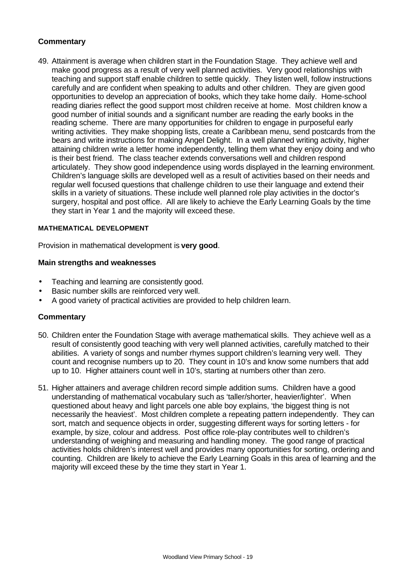49. Attainment is average when children start in the Foundation Stage. They achieve well and make good progress as a result of very well planned activities. Very good relationships with teaching and support staff enable children to settle quickly. They listen well, follow instructions carefully and are confident when speaking to adults and other children. They are given good opportunities to develop an appreciation of books, which they take home daily. Home-school reading diaries reflect the good support most children receive at home. Most children know a good number of initial sounds and a significant number are reading the early books in the reading scheme. There are many opportunities for children to engage in purposeful early writing activities. They make shopping lists, create a Caribbean menu, send postcards from the bears and write instructions for making Angel Delight. In a well planned writing activity, higher attaining children write a letter home independently, telling them what they enjoy doing and who is their best friend. The class teacher extends conversations well and children respond articulately. They show good independence using words displayed in the learning environment. Children's language skills are developed well as a result of activities based on their needs and regular well focused questions that challenge children to use their language and extend their skills in a variety of situations. These include well planned role play activities in the doctor's surgery, hospital and post office. All are likely to achieve the Early Learning Goals by the time they start in Year 1 and the majority will exceed these.

#### **MATHEMATICAL DEVELOPMENT**

Provision in mathematical development is **very good**.

#### **Main strengths and weaknesses**

- Teaching and learning are consistently good.
- Basic number skills are reinforced very well.
- A good variety of practical activities are provided to help children learn.

- 50. Children enter the Foundation Stage with average mathematical skills. They achieve well as a result of consistently good teaching with very well planned activities, carefully matched to their abilities. A variety of songs and number rhymes support children's learning very well. They count and recognise numbers up to 20. They count in 10's and know some numbers that add up to 10. Higher attainers count well in 10's, starting at numbers other than zero.
- 51. Higher attainers and average children record simple addition sums. Children have a good understanding of mathematical vocabulary such as 'taller/shorter, heavier/lighter'. When questioned about heavy and light parcels one able boy explains, 'the biggest thing is not necessarily the heaviest'. Most children complete a repeating pattern independently. They can sort, match and sequence objects in order, suggesting different ways for sorting letters - for example, by size, colour and address. Post office role-play contributes well to children's understanding of weighing and measuring and handling money. The good range of practical activities holds children's interest well and provides many opportunities for sorting, ordering and counting. Children are likely to achieve the Early Learning Goals in this area of learning and the majority will exceed these by the time they start in Year 1.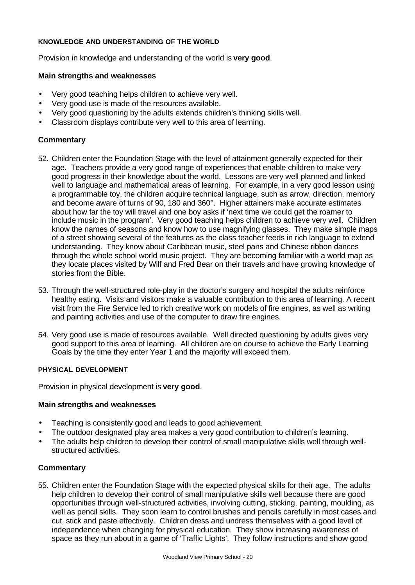#### **KNOWLEDGE AND UNDERSTANDING OF THE WORLD**

Provision in knowledge and understanding of the world is **very good**.

#### **Main strengths and weaknesses**

- Very good teaching helps children to achieve very well.
- Very good use is made of the resources available.
- Very good questioning by the adults extends children's thinking skills well.
- Classroom displays contribute very well to this area of learning.

## **Commentary**

- 52. Children enter the Foundation Stage with the level of attainment generally expected for their age. Teachers provide a very good range of experiences that enable children to make very good progress in their knowledge about the world. Lessons are very well planned and linked well to language and mathematical areas of learning. For example, in a very good lesson using a programmable toy, the children acquire technical language, such as arrow, direction, memory and become aware of turns of 90, 180 and 360°. Higher attainers make accurate estimates about how far the toy will travel and one boy asks if 'next time we could get the roamer to include music in the program'. Very good teaching helps children to achieve very well. Children know the names of seasons and know how to use magnifying glasses. They make simple maps of a street showing several of the features as the class teacher feeds in rich language to extend understanding. They know about Caribbean music, steel pans and Chinese ribbon dances through the whole school world music project. They are becoming familiar with a world map as they locate places visited by Wilf and Fred Bear on their travels and have growing knowledge of stories from the Bible.
- 53. Through the well-structured role-play in the doctor's surgery and hospital the adults reinforce healthy eating. Visits and visitors make a valuable contribution to this area of learning. A recent visit from the Fire Service led to rich creative work on models of fire engines, as well as writing and painting activities and use of the computer to draw fire engines.
- 54. Very good use is made of resources available. Well directed questioning by adults gives very good support to this area of learning. All children are on course to achieve the Early Learning Goals by the time they enter Year 1 and the majority will exceed them.

## **PHYSICAL DEVELOPMENT**

Provision in physical development is **very good**.

## **Main strengths and weaknesses**

- Teaching is consistently good and leads to good achievement.
- The outdoor designated play area makes a very good contribution to children's learning.
- The adults help children to develop their control of small manipulative skills well through wellstructured activities.

## **Commentary**

55. Children enter the Foundation Stage with the expected physical skills for their age. The adults help children to develop their control of small manipulative skills well because there are good opportunities through well-structured activities, involving cutting, sticking, painting, moulding, as well as pencil skills. They soon learn to control brushes and pencils carefully in most cases and cut, stick and paste effectively. Children dress and undress themselves with a good level of independence when changing for physical education. They show increasing awareness of space as they run about in a game of 'Traffic Lights'. They follow instructions and show good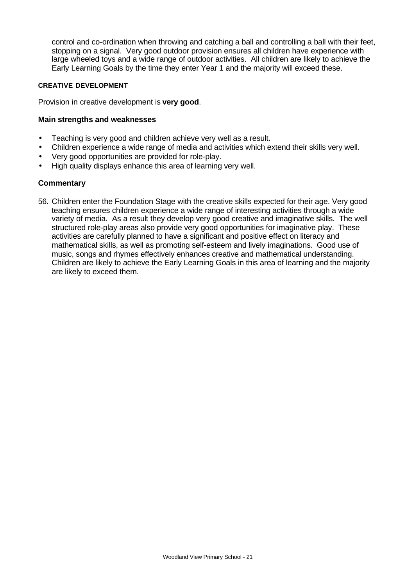control and co-ordination when throwing and catching a ball and controlling a ball with their feet, stopping on a signal. Very good outdoor provision ensures all children have experience with large wheeled toys and a wide range of outdoor activities. All children are likely to achieve the Early Learning Goals by the time they enter Year 1 and the majority will exceed these.

#### **CREATIVE DEVELOPMENT**

Provision in creative development is **very good**.

#### **Main strengths and weaknesses**

- Teaching is very good and children achieve very well as a result.
- Children experience a wide range of media and activities which extend their skills very well.
- Very good opportunities are provided for role-play.
- High quality displays enhance this area of learning very well.

#### **Commentary**

56. Children enter the Foundation Stage with the creative skills expected for their age. Very good teaching ensures children experience a wide range of interesting activities through a wide variety of media. As a result they develop very good creative and imaginative skills. The well structured role-play areas also provide very good opportunities for imaginative play. These activities are carefully planned to have a significant and positive effect on literacy and mathematical skills, as well as promoting self-esteem and lively imaginations. Good use of music, songs and rhymes effectively enhances creative and mathematical understanding. Children are likely to achieve the Early Learning Goals in this area of learning and the majority are likely to exceed them.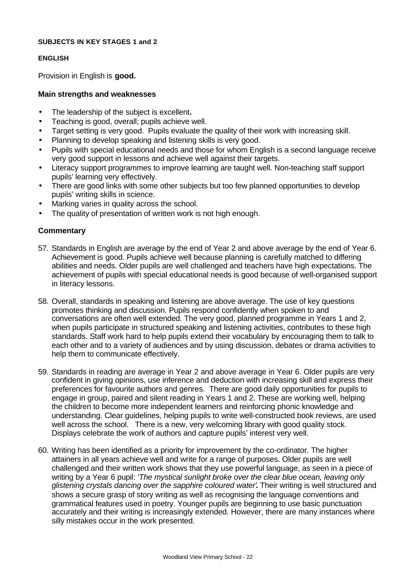#### **SUBJECTS IN KEY STAGES 1 and 2**

#### **ENGLISH**

Provision in English is **good.**

#### **Main strengths and weaknesses**

- The leadership of the subject is excellent**.**
- Teaching is good, overall; pupils achieve well.
- Target setting is very good. Pupils evaluate the quality of their work with increasing skill.
- Planning to develop speaking and listening skills is very good.
- Pupils with special educational needs and those for whom English is a second language receive very good support in lessons and achieve well against their targets.
- Literacy support programmes to improve learning are taught well. Non-teaching staff support pupils' learning very effectively.
- There are good links with some other subjects but too few planned opportunities to develop pupils' writing skills in science.
- Marking varies in quality across the school.
- The quality of presentation of written work is not high enough.

- 57. Standards in English are average by the end of Year 2 and above average by the end of Year 6. Achievement is good. Pupils achieve well because planning is carefully matched to differing abilities and needs. Older pupils are well challenged and teachers have high expectations. The achievement of pupils with special educational needs is good because of well-organised support in literacy lessons.
- 58. Overall, standards in speaking and listening are above average. The use of key questions promotes thinking and discussion. Pupils respond confidently when spoken to and conversations are often well extended. The very good, planned programme in Years 1 and 2, when pupils participate in structured speaking and listening activities, contributes to these high standards. Staff work hard to help pupils extend their vocabulary by encouraging them to talk to each other and to a variety of audiences and by using discussion, debates or drama activities to help them to communicate effectively.
- 59. Standards in reading are average in Year 2 and above average in Year 6. Older pupils are very confident in giving opinions, use inference and deduction with increasing skill and express their preferences for favourite authors and genres. There are good daily opportunities for pupils to engage in group, paired and silent reading in Years 1 and 2. These are working well, helping the children to become more independent learners and reinforcing phonic knowledge and understanding. Clear guidelines, helping pupils to write well-constructed book reviews, are used well across the school. There is a new, very welcoming library with good quality stock. Displays celebrate the work of authors and capture pupils' interest very well.
- 60. Writing has been identified as a priority for improvement by the co-ordinator. The higher attainers in all years achieve well and write for a range of purposes. Older pupils are well challenged and their written work shows that they use powerful language, as seen in a piece of writing by a Year 6 pupil: *'The mystical sunlight broke over the clear blue ocean, leaving only glistening crystals dancing over the sapphire coloured water'***.** Their writing is well structured and shows a secure grasp of story writing as well as recognising the language conventions and grammatical features used in poetry. Younger pupils are beginning to use basic punctuation accurately and their writing is increasingly extended. However, there are many instances where silly mistakes occur in the work presented.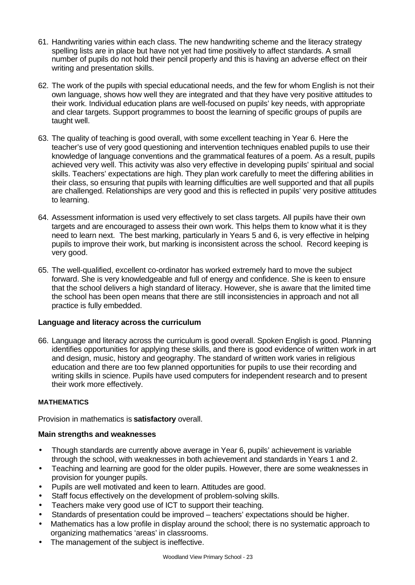- 61. Handwriting varies within each class. The new handwriting scheme and the literacy strategy spelling lists are in place but have not yet had time positively to affect standards. A small number of pupils do not hold their pencil properly and this is having an adverse effect on their writing and presentation skills.
- 62. The work of the pupils with special educational needs, and the few for whom English is not their own language, shows how well they are integrated and that they have very positive attitudes to their work. Individual education plans are well-focused on pupils' key needs, with appropriate and clear targets. Support programmes to boost the learning of specific groups of pupils are taught well.
- 63. The quality of teaching is good overall, with some excellent teaching in Year 6. Here the teacher's use of very good questioning and intervention techniques enabled pupils to use their knowledge of language conventions and the grammatical features of a poem. As a result, pupils achieved very well. This activity was also very effective in developing pupils' spiritual and social skills. Teachers' expectations are high. They plan work carefully to meet the differing abilities in their class, so ensuring that pupils with learning difficulties are well supported and that all pupils are challenged. Relationships are very good and this is reflected in pupils' very positive attitudes to learning.
- 64. Assessment information is used very effectively to set class targets. All pupils have their own targets and are encouraged to assess their own work. This helps them to know what it is they need to learn next. The best marking, particularly in Years 5 and 6, is very effective in helping pupils to improve their work, but marking is inconsistent across the school. Record keeping is very good.
- 65. The well-qualified, excellent co-ordinator has worked extremely hard to move the subject forward. She is very knowledgeable and full of energy and confidence. She is keen to ensure that the school delivers a high standard of literacy. However, she is aware that the limited time the school has been open means that there are still inconsistencies in approach and not all practice is fully embedded.

#### **Language and literacy across the curriculum**

66. Language and literacy across the curriculum is good overall. Spoken English is good. Planning identifies opportunities for applying these skills, and there is good evidence of written work in art and design, music, history and geography. The standard of written work varies in religious education and there are too few planned opportunities for pupils to use their recording and writing skills in science. Pupils have used computers for independent research and to present their work more effectively.

#### **MATHEMATICS**

Provision in mathematics is **satisfactory** overall.

## **Main strengths and weaknesses**

- Though standards are currently above average in Year 6, pupils' achievement is variable through the school, with weaknesses in both achievement and standards in Years 1 and 2.
- Teaching and learning are good for the older pupils. However, there are some weaknesses in provision for younger pupils.
- Pupils are well motivated and keen to learn. Attitudes are good.
- Staff focus effectively on the development of problem-solving skills.
- Teachers make very good use of ICT to support their teaching.
- Standards of presentation could be improved teachers' expectations should be higher.
- Mathematics has a low profile in display around the school; there is no systematic approach to organizing mathematics 'areas' in classrooms.
- The management of the subject is ineffective.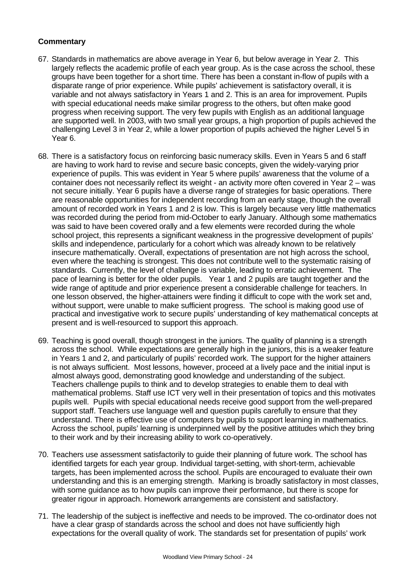- 67. Standards in mathematics are above average in Year 6, but below average in Year 2. This largely reflects the academic profile of each year group. As is the case across the school, these groups have been together for a short time. There has been a constant in-flow of pupils with a disparate range of prior experience. While pupils' achievement is satisfactory overall, it is variable and not always satisfactory in Years 1 and 2. This is an area for improvement. Pupils with special educational needs make similar progress to the others, but often make good progress when receiving support. The very few pupils with English as an additional language are supported well. In 2003, with two small year groups, a high proportion of pupils achieved the challenging Level 3 in Year 2, while a lower proportion of pupils achieved the higher Level 5 in Year 6.
- 68. There is a satisfactory focus on reinforcing basic numeracy skills. Even in Years 5 and 6 staff are having to work hard to revise and secure basic concepts, given the widely-varying prior experience of pupils. This was evident in Year 5 where pupils' awareness that the volume of a container does not necessarily reflect its weight - an activity more often covered in Year 2 – was not secure initially. Year 6 pupils have a diverse range of strategies for basic operations. There are reasonable opportunities for independent recording from an early stage, though the overall amount of recorded work in Years 1 and 2 is low. This is largely because very little mathematics was recorded during the period from mid-October to early January. Although some mathematics was said to have been covered orally and a few elements were recorded during the whole school project, this represents a significant weakness in the progressive development of pupils' skills and independence, particularly for a cohort which was already known to be relatively insecure mathematically. Overall, expectations of presentation are not high across the school, even where the teaching is strongest. This does not contribute well to the systematic raising of standards. Currently, the level of challenge is variable, leading to erratic achievement. The pace of learning is better for the older pupils. Year 1 and 2 pupils are taught together and the wide range of aptitude and prior experience present a considerable challenge for teachers. In one lesson observed, the higher-attainers were finding it difficult to cope with the work set and, without support, were unable to make sufficient progress. The school is making good use of practical and investigative work to secure pupils' understanding of key mathematical concepts at present and is well-resourced to support this approach.
- 69. Teaching is good overall, though strongest in the juniors. The quality of planning is a strength across the school. While expectations are generally high in the juniors, this is a weaker feature in Years 1 and 2, and particularly of pupils' recorded work. The support for the higher attainers is not always sufficient. Most lessons, however, proceed at a lively pace and the initial input is almost always good, demonstrating good knowledge and understanding of the subject. Teachers challenge pupils to think and to develop strategies to enable them to deal with mathematical problems. Staff use ICT very well in their presentation of topics and this motivates pupils well. Pupils with special educational needs receive good support from the well-prepared support staff. Teachers use language well and question pupils carefully to ensure that they understand. There is effective use of computers by pupils to support learning in mathematics. Across the school, pupils' learning is underpinned well by the positive attitudes which they bring to their work and by their increasing ability to work co-operatively.
- 70. Teachers use assessment satisfactorily to guide their planning of future work. The school has identified targets for each year group. Individual target-setting, with short-term, achievable targets, has been implemented across the school. Pupils are encouraged to evaluate their own understanding and this is an emerging strength. Marking is broadly satisfactory in most classes, with some guidance as to how pupils can improve their performance, but there is scope for greater rigour in approach. Homework arrangements are consistent and satisfactory.
- 71. The leadership of the subject is ineffective and needs to be improved. The co-ordinator does not have a clear grasp of standards across the school and does not have sufficiently high expectations for the overall quality of work. The standards set for presentation of pupils' work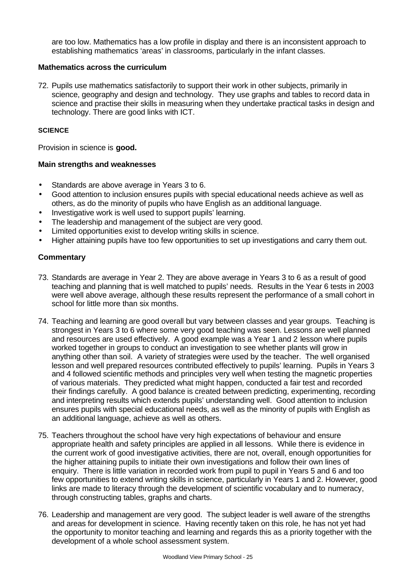are too low. Mathematics has a low profile in display and there is an inconsistent approach to establishing mathematics 'areas' in classrooms, particularly in the infant classes.

#### **Mathematics across the curriculum**

72. Pupils use mathematics satisfactorily to support their work in other subjects, primarily in science, geography and design and technology. They use graphs and tables to record data in science and practise their skills in measuring when they undertake practical tasks in design and technology. There are good links with ICT.

#### **SCIENCE**

Provision in science is **good.**

#### **Main strengths and weaknesses**

- Standards are above average in Years 3 to 6.
- Good attention to inclusion ensures pupils with special educational needs achieve as well as others, as do the minority of pupils who have English as an additional language.
- Investigative work is well used to support pupils' learning.
- The leadership and management of the subject are very good.
- Limited opportunities exist to develop writing skills in science.
- Higher attaining pupils have too few opportunities to set up investigations and carry them out.

- 73. Standards are average in Year 2. They are above average in Years 3 to 6 as a result of good teaching and planning that is well matched to pupils' needs. Results in the Year 6 tests in 2003 were well above average, although these results represent the performance of a small cohort in school for little more than six months.
- 74. Teaching and learning are good overall but vary between classes and year groups. Teaching is strongest in Years 3 to 6 where some very good teaching was seen. Lessons are well planned and resources are used effectively. A good example was a Year 1 and 2 lesson where pupils worked together in groups to conduct an investigation to see whether plants will grow in anything other than soil. A variety of strategies were used by the teacher. The well organised lesson and well prepared resources contributed effectively to pupils' learning. Pupils in Years 3 and 4 followed scientific methods and principles very well when testing the magnetic properties of various materials. They predicted what might happen, conducted a fair test and recorded their findings carefully. A good balance is created between predicting, experimenting, recording and interpreting results which extends pupils' understanding well. Good attention to inclusion ensures pupils with special educational needs, as well as the minority of pupils with English as an additional language, achieve as well as others.
- 75. Teachers throughout the school have very high expectations of behaviour and ensure appropriate health and safety principles are applied in all lessons. While there is evidence in the current work of good investigative activities, there are not, overall, enough opportunities for the higher attaining pupils to initiate their own investigations and follow their own lines of enquiry. There is little variation in recorded work from pupil to pupil in Years 5 and 6 and too few opportunities to extend writing skills in science, particularly in Years 1 and 2. However, good links are made to literacy through the development of scientific vocabulary and to numeracy, through constructing tables, graphs and charts.
- 76. Leadership and management are very good. The subject leader is well aware of the strengths and areas for development in science. Having recently taken on this role, he has not yet had the opportunity to monitor teaching and learning and regards this as a priority together with the development of a whole school assessment system.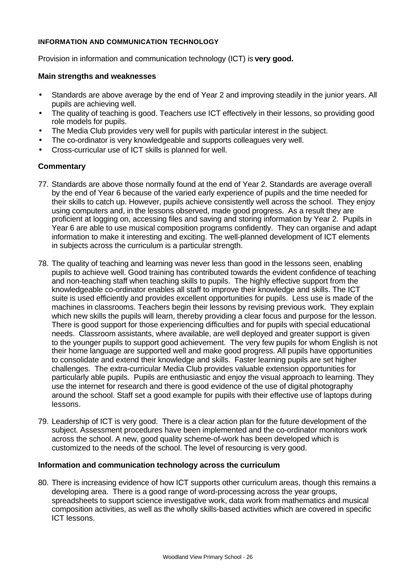#### **INFORMATION AND COMMUNICATION TECHNOLOGY**

Provision in information and communication technology (ICT) is **very good.**

#### **Main strengths and weaknesses**

- Standards are above average by the end of Year 2 and improving steadily in the junior years. All pupils are achieving well.
- The quality of teaching is good. Teachers use ICT effectively in their lessons, so providing good role models for pupils.
- The Media Club provides very well for pupils with particular interest in the subject.
- The co-ordinator is very knowledgeable and supports colleagues very well.
- Cross-curricular use of ICT skills is planned for well.

## **Commentary**

- 77. Standards are above those normally found at the end of Year 2. Standards are average overall by the end of Year 6 because of the varied early experience of pupils and the time needed for their skills to catch up. However, pupils achieve consistently well across the school. They enjoy using computers and, in the lessons observed, made good progress. As a result they are proficient at logging on, accessing files and saving and storing information by Year 2. Pupils in Year 6 are able to use musical composition programs confidently. They can organise and adapt information to make it interesting and exciting. The well-planned development of ICT elements in subjects across the curriculum is a particular strength.
- 78. The quality of teaching and learning was never less than good in the lessons seen, enabling pupils to achieve well. Good training has contributed towards the evident confidence of teaching and non-teaching staff when teaching skills to pupils. The highly effective support from the knowledgeable co-ordinator enables all staff to improve their knowledge and skills. The ICT suite is used efficiently and provides excellent opportunities for pupils. Less use is made of the machines in classrooms. Teachers begin their lessons by revising previous work. They explain which new skills the pupils will learn, thereby providing a clear focus and purpose for the lesson. There is good support for those experiencing difficulties and for pupils with special educational needs. Classroom assistants, where available, are well deployed and greater support is given to the younger pupils to support good achievement. The very few pupils for whom English is not their home language are supported well and make good progress. All pupils have opportunities to consolidate and extend their knowledge and skills. Faster learning pupils are set higher challenges. The extra-curricular Media Club provides valuable extension opportunities for particularly able pupils. Pupils are enthusiastic and enjoy the visual approach to learning. They use the internet for research and there is good evidence of the use of digital photography around the school. Staff set a good example for pupils with their effective use of laptops during lessons.
- 79. Leadership of ICT is very good. There is a clear action plan for the future development of the subject. Assessment procedures have been implemented and the co-ordinator monitors work across the school. A new, good quality scheme-of-work has been developed which is customized to the needs of the school. The level of resourcing is very good.

#### **Information and communication technology across the curriculum**

80. There is increasing evidence of how ICT supports other curriculum areas, though this remains a developing area. There is a good range of word-processing across the year groups, spreadsheets to support science investigative work, data work from mathematics and musical composition activities, as well as the wholly skills-based activities which are covered in specific ICT lessons.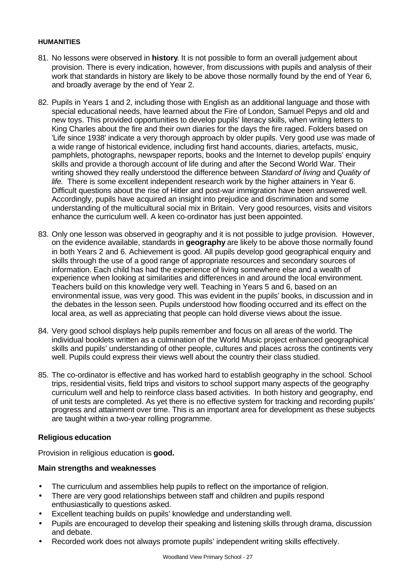#### **HUMANITIES**

- 81. No lessons were observed in **history**. It is not possible to form an overall judgement about provision. There is every indication, however, from discussions with pupils and analysis of their work that standards in history are likely to be above those normally found by the end of Year 6, and broadly average by the end of Year 2.
- 82. Pupils in Years 1 and 2, including those with English as an additional language and those with special educational needs, have learned about the Fire of London, Samuel Pepys and old and new toys. This provided opportunities to develop pupils' literacy skills, when writing letters to King Charles about the fire and their own diaries for the days the fire raged. Folders based on 'Life since 1938' indicate a very thorough approach by older pupils. Very good use was made of a wide range of historical evidence, including first hand accounts, diaries, artefacts, music, pamphlets, photographs, newspaper reports, books and the Internet to develop pupils' enquiry skills and provide a thorough account of life during and after the Second World War. Their writing showed they really understood the difference between *Standard of living* and *Quality of life.* There is some excellent independent research work by the higher attainers in Year 6. Difficult questions about the rise of Hitler and post-war immigration have been answered well. Accordingly, pupils have acquired an insight into prejudice and discrimination and some understanding of the multicultural social mix in Britain. Very good resources, visits and visitors enhance the curriculum well. A keen co-ordinator has just been appointed.
- 83. Only one lesson was observed in geography and it is not possible to judge provision. However, on the evidence available, standards in **geography** are likely to be above those normally found in both Years 2 and 6. Achievement is good. All pupils develop good geographical enquiry and skills through the use of a good range of appropriate resources and secondary sources of information. Each child has had the experience of living somewhere else and a wealth of experience when looking at similarities and differences in and around the local environment. Teachers build on this knowledge very well. Teaching in Years 5 and 6, based on an environmental issue, was very good. This was evident in the pupils' books, in discussion and in the debates in the lesson seen. Pupils understood how flooding occurred and its effect on the local area, as well as appreciating that people can hold diverse views about the issue.
- 84. Very good school displays help pupils remember and focus on all areas of the world. The individual booklets written as a culmination of the World Music project enhanced geographical skills and pupils' understanding of other people, cultures and places across the continents very well. Pupils could express their views well about the country their class studied.
- 85. The co-ordinator is effective and has worked hard to establish geography in the school. School trips, residential visits, field trips and visitors to school support many aspects of the geography curriculum well and help to reinforce class based activities. In both history and geography, end of unit tests are completed. As yet there is no effective system for tracking and recording pupils' progress and attainment over time. This is an important area for development as these subjects are taught within a two-year rolling programme.

#### **Religious education**

Provision in religious education is **good.**

#### **Main strengths and weaknesses**

- The curriculum and assemblies help pupils to reflect on the importance of religion.
- There are very good relationships between staff and children and pupils respond enthusiastically to questions asked.
- Excellent teaching builds on pupils' knowledge and understanding well.
- Pupils are encouraged to develop their speaking and listening skills through drama, discussion and debate.
- Recorded work does not always promote pupils' independent writing skills effectively.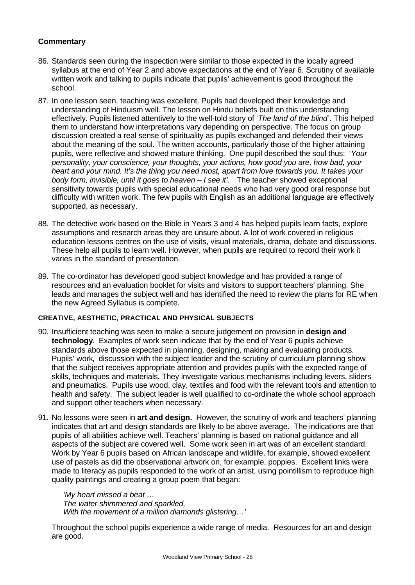- 86. Standards seen during the inspection were similar to those expected in the locally agreed syllabus at the end of Year 2 and above expectations at the end of Year 6. Scrutiny of available written work and talking to pupils indicate that pupils' achievement is good throughout the school.
- 87. In one lesson seen, teaching was excellent. Pupils had developed their knowledge and understanding of Hinduism well. The lesson on Hindu beliefs built on this understanding effectively. Pupils listened attentively to the well-told story of '*The land of the blind*'. This helped them to understand how interpretations vary depending on perspective. The focus on group discussion created a real sense of spirituality as pupils exchanged and defended their views about the meaning of the soul. The written accounts, particularly those of the higher attaining pupils, were reflective and showed mature thinking. One pupil described the soul thus: '*Your personality, your conscience, your thoughts, your actions, how good you are, how bad, your heart and your mind. It's the thing you need most, apart from love towards you. It takes your body form, invisible, until it goes to heaven – I see it'.* The teacher showed exceptional sensitivity towards pupils with special educational needs who had very good oral response but difficulty with written work. The few pupils with English as an additional language are effectively supported, as necessary.
- 88. The detective work based on the Bible in Years 3 and 4 has helped pupils learn facts, explore assumptions and research areas they are unsure about. A lot of work covered in religious education lessons centres on the use of visits, visual materials, drama, debate and discussions. These help all pupils to learn well. However, when pupils are required to record their work it varies in the standard of presentation.
- 89. The co-ordinator has developed good subject knowledge and has provided a range of resources and an evaluation booklet for visits and visitors to support teachers' planning. She leads and manages the subject well and has identified the need to review the plans for RE when the new Agreed Syllabus is complete.

#### **CREATIVE, AESTHETIC, PRACTICAL AND PHYSICAL SUBJECTS**

- 90. Insufficient teaching was seen to make a secure judgement on provision in **design and technology**. Examples of work seen indicate that by the end of Year 6 pupils achieve standards above those expected in planning, designing, making and evaluating products. Pupils' work, discussion with the subject leader and the scrutiny of curriculum planning show that the subject receives appropriate attention and provides pupils with the expected range of skills, techniques and materials. They investigate various mechanisms including levers, sliders and pneumatics. Pupils use wood, clay, textiles and food with the relevant tools and attention to health and safety. The subject leader is well qualified to co-ordinate the whole school approach and support other teachers when necessary.
- 91. No lessons were seen in **art and design.** However, the scrutiny of work and teachers' planning indicates that art and design standards are likely to be above average. The indications are that pupils of all abilities achieve well. Teachers' planning is based on national guidance and all aspects of the subject are covered well. Some work seen in art was of an excellent standard. Work by Year 6 pupils based on African landscape and wildlife, for example, showed excellent use of pastels as did the observational artwork on, for example, poppies. Excellent links were made to literacy as pupils responded to the work of an artist, using pointillism to reproduce high quality paintings and creating a group poem that began:

*'My heart missed a beat … The water shimmered and sparkled, With the movement of a million diamonds glistering…'*

Throughout the school pupils experience a wide range of media. Resources for art and design are good.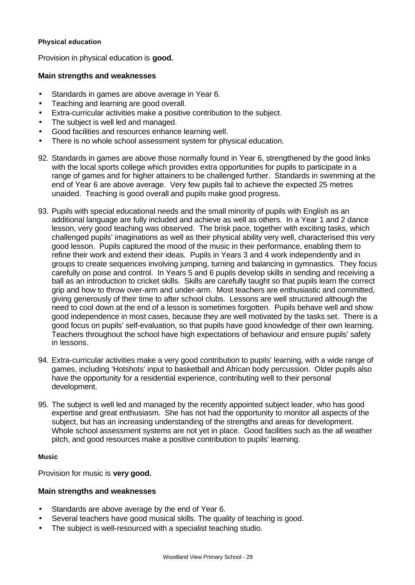#### **Physical education**

Provision in physical education is **good.**

## **Main strengths and weaknesses**

- Standards in games are above average in Year 6.
- Teaching and learning are good overall.
- Extra-curricular activities make a positive contribution to the subject.
- The subject is well led and managed.
- Good facilities and resources enhance learning well.
- There is no whole school assessment system for physical education.
- 92. Standards in games are above those normally found in Year 6, strengthened by the good links with the local sports college which provides extra opportunities for pupils to participate in a range of games and for higher attainers to be challenged further. Standards in swimming at the end of Year 6 are above average. Very few pupils fail to achieve the expected 25 metres unaided. Teaching is good overall and pupils make good progress.
- 93. Pupils with special educational needs and the small minority of pupils with English as an additional language are fully included and achieve as well as others. In a Year 1 and 2 dance lesson, very good teaching was observed. The brisk pace, together with exciting tasks, which challenged pupils' imaginations as well as their physical ability very well, characterised this very good lesson. Pupils captured the mood of the music in their performance, enabling them to refine their work and extend their ideas. Pupils in Years 3 and 4 work independently and in groups to create sequences involving jumping, turning and balancing in gymnastics. They focus carefully on poise and control. In Years 5 and 6 pupils develop skills in sending and receiving a ball as an introduction to cricket skills. Skills are carefully taught so that pupils learn the correct grip and how to throw over-arm and under-arm. Most teachers are enthusiastic and committed, giving generously of their time to after school clubs. Lessons are well structured although the need to cool down at the end of a lesson is sometimes forgotten. Pupils behave well and show good independence in most cases, because they are well motivated by the tasks set. There is a good focus on pupils' self-evaluation, so that pupils have good knowledge of their own learning. Teachers throughout the school have high expectations of behaviour and ensure pupils' safety in lessons.
- 94. Extra-curricular activities make a very good contribution to pupils' learning, with a wide range of games, including 'Hotshots' input to basketball and African body percussion. Older pupils also have the opportunity for a residential experience, contributing well to their personal development.
- 95. The subject is well led and managed by the recently appointed subject leader, who has good expertise and great enthusiasm. She has not had the opportunity to monitor all aspects of the subject, but has an increasing understanding of the strengths and areas for development. Whole school assessment systems are not yet in place. Good facilities such as the all weather pitch, and good resources make a positive contribution to pupils' learning.

#### **Music**

Provision for music is **very good.**

#### **Main strengths and weaknesses**

- Standards are above average by the end of Year 6.
- Several teachers have good musical skills. The quality of teaching is good.
- The subject is well-resourced with a specialist teaching studio.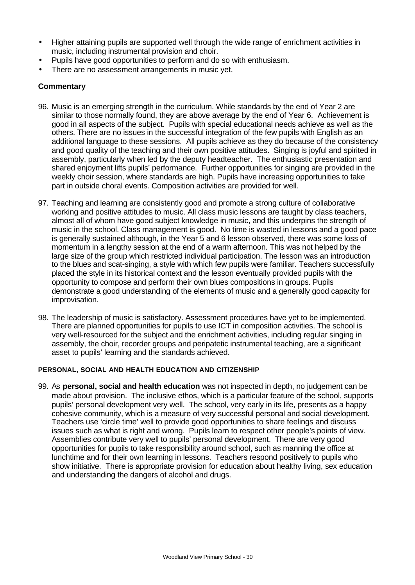- Higher attaining pupils are supported well through the wide range of enrichment activities in music, including instrumental provision and choir.
- Pupils have good opportunities to perform and do so with enthusiasm.
- There are no assessment arrangements in music yet.

- 96. Music is an emerging strength in the curriculum. While standards by the end of Year 2 are similar to those normally found, they are above average by the end of Year 6. Achievement is good in all aspects of the subject. Pupils with special educational needs achieve as well as the others. There are no issues in the successful integration of the few pupils with English as an additional language to these sessions. All pupils achieve as they do because of the consistency and good quality of the teaching and their own positive attitudes. Singing is joyful and spirited in assembly, particularly when led by the deputy headteacher. The enthusiastic presentation and shared enjoyment lifts pupils' performance. Further opportunities for singing are provided in the weekly choir session, where standards are high. Pupils have increasing opportunities to take part in outside choral events. Composition activities are provided for well.
- 97. Teaching and learning are consistently good and promote a strong culture of collaborative working and positive attitudes to music. All class music lessons are taught by class teachers, almost all of whom have good subject knowledge in music, and this underpins the strength of music in the school. Class management is good. No time is wasted in lessons and a good pace is generally sustained although, in the Year 5 and 6 lesson observed, there was some loss of momentum in a lengthy session at the end of a warm afternoon. This was not helped by the large size of the group which restricted individual participation. The lesson was an introduction to the blues and scat-singing, a style with which few pupils were familiar. Teachers successfully placed the style in its historical context and the lesson eventually provided pupils with the opportunity to compose and perform their own blues compositions in groups. Pupils demonstrate a good understanding of the elements of music and a generally good capacity for improvisation.
- 98. The leadership of music is satisfactory. Assessment procedures have yet to be implemented. There are planned opportunities for pupils to use ICT in composition activities. The school is very well-resourced for the subject and the enrichment activities, including regular singing in assembly, the choir, recorder groups and peripatetic instrumental teaching, are a significant asset to pupils' learning and the standards achieved.

#### **PERSONAL, SOCIAL AND HEALTH EDUCATION AND CITIZENSHIP**

99. As **personal, social and health education** was not inspected in depth, no judgement can be made about provision. The inclusive ethos, which is a particular feature of the school, supports pupils' personal development very well. The school, very early in its life, presents as a happy cohesive community, which is a measure of very successful personal and social development. Teachers use 'circle time' well to provide good opportunities to share feelings and discuss issues such as what is right and wrong. Pupils learn to respect other people's points of view. Assemblies contribute very well to pupils' personal development. There are very good opportunities for pupils to take responsibility around school, such as manning the office at lunchtime and for their own learning in lessons. Teachers respond positively to pupils who show initiative. There is appropriate provision for education about healthy living, sex education and understanding the dangers of alcohol and drugs.